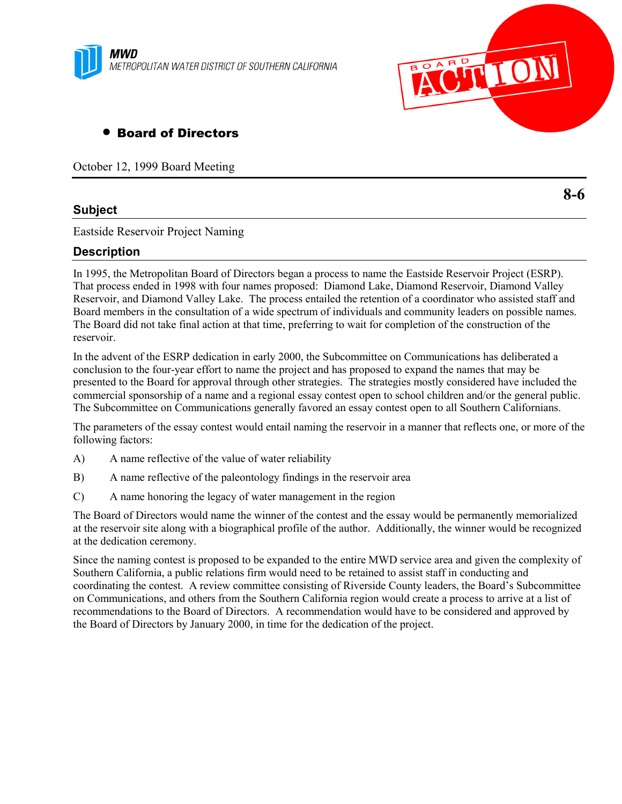



## • Board of Directors

October 12, 1999 Board Meeting

## **Subject**

Eastside Reservoir Project Naming

## **Description**

In 1995, the Metropolitan Board of Directors began a process to name the Eastside Reservoir Project (ESRP). That process ended in 1998 with four names proposed: Diamond Lake, Diamond Reservoir, Diamond Valley Reservoir, and Diamond Valley Lake. The process entailed the retention of a coordinator who assisted staff and Board members in the consultation of a wide spectrum of individuals and community leaders on possible names. The Board did not take final action at that time, preferring to wait for completion of the construction of the reservoir.

In the advent of the ESRP dedication in early 2000, the Subcommittee on Communications has deliberated a conclusion to the four-year effort to name the project and has proposed to expand the names that may be presented to the Board for approval through other strategies. The strategies mostly considered have included the commercial sponsorship of a name and a regional essay contest open to school children and/or the general public. The Subcommittee on Communications generally favored an essay contest open to all Southern Californians.

The parameters of the essay contest would entail naming the reservoir in a manner that reflects one, or more of the following factors:

- A) A name reflective of the value of water reliability
- B) A name reflective of the paleontology findings in the reservoir area
- C) A name honoring the legacy of water management in the region

The Board of Directors would name the winner of the contest and the essay would be permanently memorialized at the reservoir site along with a biographical profile of the author. Additionally, the winner would be recognized at the dedication ceremony.

Since the naming contest is proposed to be expanded to the entire MWD service area and given the complexity of Southern California, a public relations firm would need to be retained to assist staff in conducting and coordinating the contest. A review committee consisting of Riverside County leaders, the Board's Subcommittee on Communications, and others from the Southern California region would create a process to arrive at a list of recommendations to the Board of Directors. A recommendation would have to be considered and approved by the Board of Directors by January 2000, in time for the dedication of the project.

**8-6**